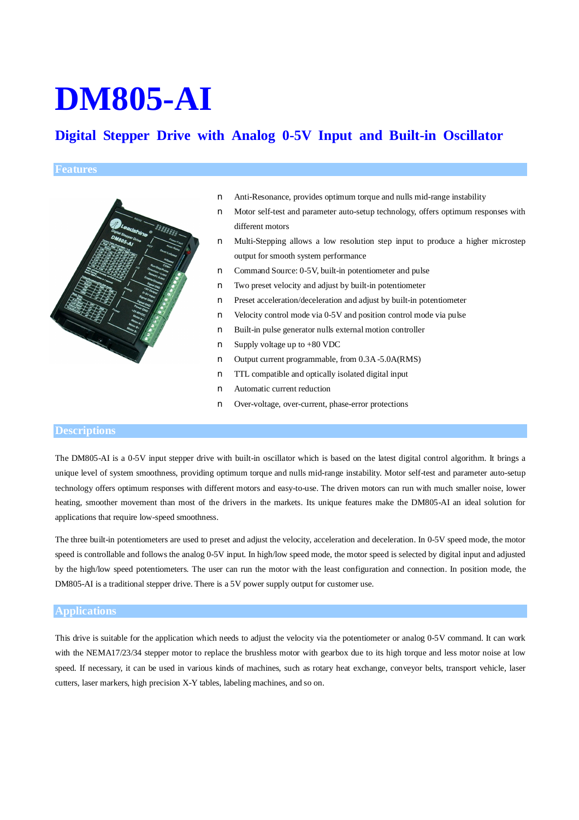# **DM805-AI**

## **Digital Stepper Drive with Analog 0-5V Input and Built-in Oscillator**

#### **Features**



- n Anti-Resonance, provides optimum torque and nulls mid-range instability
- n Motor self-test and parameter auto-setup technology, offers optimum responses with different motors
- n Multi-Stepping allows a low resolution step input to produce a higher microstep output for smooth system performance
- n Command Source: 0-5V, built-in potentiometer and pulse
- n Two preset velocity and adjust by built-in potentiometer
- n Preset acceleration/deceleration and adjust by built-in potentiometer
- n Velocity control mode via 0-5V and position control mode via pulse
- n Built-in pulse generator nulls external motion controller
- n Supply voltage up to +80 VDC
- n Output current programmable, from 0.3A-5.0A(RMS)
- n TTL compatible and optically isolated digital input
- n Automatic current reduction
- n Over-voltage, over-current, phase-error protections

#### **Descriptions**

The DM805-AI is a 0-5V input stepper drive with built-in oscillator which is based on the latest digital control algorithm. It brings a unique level of system smoothness, providing optimum torque and nulls mid-range instability. Motor self-test and parameter auto-setup technology offers optimum responses with different motors and easy-to-use. The driven motors can run with much smaller noise, lower heating, smoother movement than most of the drivers in the markets. Its unique features make the DM805-AI an ideal solution for applications that require low-speed smoothness.

The three built-in potentiometers are used to preset and adjust the velocity, acceleration and deceleration. In 0-5V speed mode, the motor speed is controllable and follows the analog 0-5V input. In high/low speed mode, the motor speed is selected by digital input and adjusted by the high/low speed potentiometers. The user can run the motor with the least configuration and connection. In position mode, the DM805-AI is a traditional stepper drive. There is a 5V power supply output for customer use.

#### **Applications**

This drive is suitable for the application which needs to adjust the velocity via the potentiometer or analog 0-5V command. It can work with the NEMA17/23/34 stepper motor to replace the brushless motor with gearbox due to its high torque and less motor noise at low speed. If necessary, it can be used in various kinds of machines, such as rotary heat exchange, conveyor belts, transport vehicle, laser cutters, laser markers, high precision X-Y tables, labeling machines, and so on.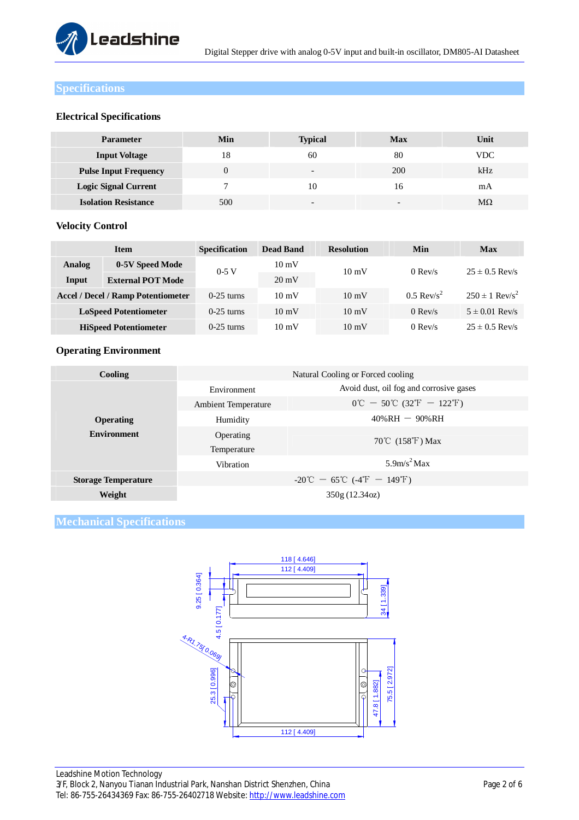

#### **Specifications**

#### **Electrical Specifications**

| <b>Parameter</b>             | Min | <b>Typical</b>           | Max                      | Unit       |
|------------------------------|-----|--------------------------|--------------------------|------------|
| <b>Input Voltage</b>         | 18  | 60                       | 80                       | <b>VDC</b> |
| <b>Pulse Input Frequency</b> |     | $\overline{\phantom{a}}$ | 200                      | kHz        |
| <b>Logic Signal Current</b>  |     | 10                       | 16                       | mA         |
| <b>Isolation Resistance</b>  | 500 | $\overline{\phantom{a}}$ | $\overline{\phantom{a}}$ | МΩ         |

#### **Velocity Control**

|               | <b>Item</b>                               | <b>Specification</b> | <b>Dead Band</b> | <b>Resolution</b> | Min                      | <b>Max</b>                     |
|---------------|-------------------------------------------|----------------------|------------------|-------------------|--------------------------|--------------------------------|
| <b>Analog</b> | 0-5V Speed Mode                           | $0-5$ V              | $10 \text{ mV}$  | $10 \text{ mV}$   | $0$ Rev/s                | $25 \pm 0.5$ Rev/s             |
| Input         | <b>External POT Mode</b>                  |                      | $20 \text{ mV}$  |                   |                          |                                |
|               | <b>Accel / Decel / Ramp Potentiometer</b> | $0-25$ turns         | $10 \text{ mV}$  | $10 \text{ mV}$   | $0.5$ Rev/s <sup>2</sup> | $250 \pm 1$ Rev/s <sup>2</sup> |
|               | <b>LoSpeed Potentiometer</b>              | $0-25$ turns         | $10 \text{ mV}$  | $10 \text{ mV}$   | $0$ Rev/s                | $5 \pm 0.01$ Rev/s             |
|               | <b>HiSpeed Potentiometer</b>              | $0-25$ turns         | $10 \text{ mV}$  | $10 \text{ mV}$   | $0$ Rev/s                | $25 \pm 0.5$ Rev/s             |

### **Operating Environment**

| <b>Cooling</b>             | Natural Cooling or Forced cooling |                                                                                       |  |  |
|----------------------------|-----------------------------------|---------------------------------------------------------------------------------------|--|--|
|                            | Environment                       | Avoid dust, oil fog and corrosive gases                                               |  |  |
|                            | <b>Ambient Temperature</b>        | $0^{\circ}\text{C} - 50^{\circ}\text{C}$ (32 <sup>°</sup> F $- 122^{\circ}\text{F}$ ) |  |  |
| Operating                  | Humidity                          | $40\%RH - 90\%RH$                                                                     |  |  |
| <b>Environment</b>         | Operating                         | 70°C $(158^{\circ}\text{F})$ Max                                                      |  |  |
|                            | Temperature                       |                                                                                       |  |  |
|                            | Vibration                         | $5.9$ m/s <sup>2</sup> Max                                                            |  |  |
| <b>Storage Temperature</b> |                                   | $-20^{\circ}\text{C} - 65^{\circ}\text{C}$ (-4 <sup>°</sup> F - 149 <sup>°</sup> F)   |  |  |
| Weight                     |                                   | 350g (12.34oz)                                                                        |  |  |

### **Mechanical Specifications**

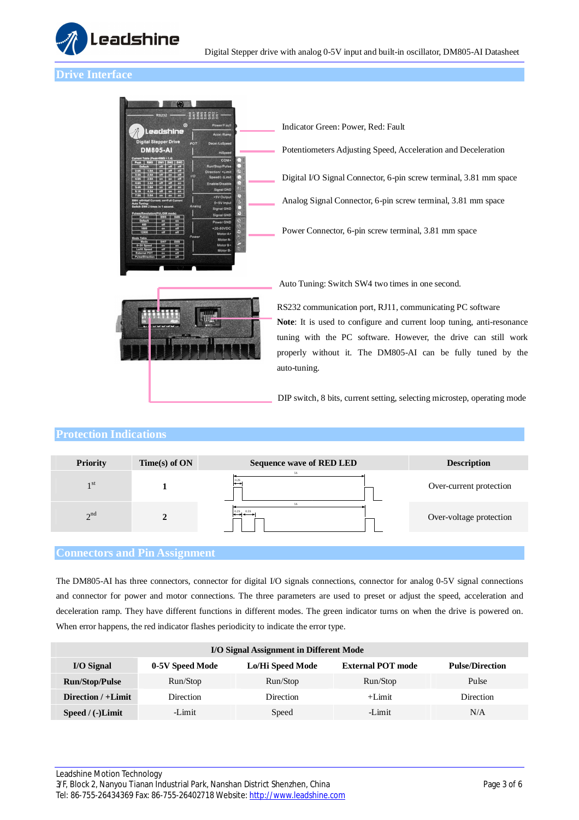

#### **Drive Interface**



Power Connector, 6-pin screw terminal, 3.81 mm space Digital I/O Signal Connector, 6-pin screw terminal, 3.81 mm space Analog Signal Connector, 6-pin screw terminal, 3.81 mm space Indicator Green: Power, Red: Fault Potentiometers Adjusting Speed, Acceleration and Deceleration

Auto Tuning: Switch SW4 two times in one second.



RS232 communication port, RJ11, communicating PC software **Note**: It is used to configure and current loop tuning, anti-resonance tuning with the PC software. However, the drive can still work properly without it. The DM805-AI can be fully tuned by the auto-tuning.

DIP switch, 8 bits, current setting, selecting microstep, operating mode

#### **Protection Indications**

| <b>5S</b><br>0.2S<br>1 <sup>st</sup><br>Over-current protection<br>5S<br>0.2S<br>0.5S<br>2 <sup>nd</sup><br>Over-voltage protection | <b>Priority</b> | $Time(s)$ of ON | <b>Sequence wave of RED LED</b> | <b>Description</b> |
|-------------------------------------------------------------------------------------------------------------------------------------|-----------------|-----------------|---------------------------------|--------------------|
|                                                                                                                                     |                 |                 |                                 |                    |
|                                                                                                                                     |                 |                 |                                 |                    |

#### **Connectors and Pin Assignment**

The DM805-AI has three connectors, connector for digital I/O signals connections, connector for analog 0-5V signal connections and connector for power and motor connections. The three parameters are used to preset or adjust the speed, acceleration and deceleration ramp. They have different functions in different modes. The green indicator turns on when the drive is powered on. When error happens, the red indicator flashes periodicity to indicate the error type.

| I/O Signal Assignment in Different Mode |                  |                  |                          |                        |  |
|-----------------------------------------|------------------|------------------|--------------------------|------------------------|--|
| I/O Signal                              | 0-5V Speed Mode  | Lo/Hi Speed Mode | <b>External POT mode</b> | <b>Pulse/Direction</b> |  |
| <b>Run/Stop/Pulse</b>                   | Run/Stop         | Run/Stop         | Run/Stop                 | Pulse                  |  |
| Direction $/ +$ Limit                   | <b>Direction</b> | <b>Direction</b> | $+Limit$                 | Direction              |  |
| Speed $/$ (-)Limit                      | -Limit           | Speed            | -Limit                   | N/A                    |  |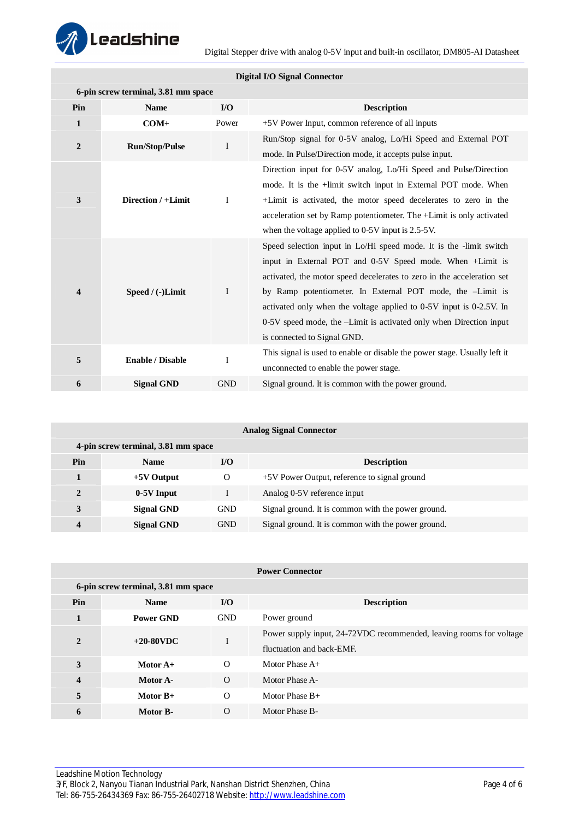

| <b>Digital I/O Signal Connector</b> |                                     |              |                                                                           |  |  |
|-------------------------------------|-------------------------------------|--------------|---------------------------------------------------------------------------|--|--|
|                                     | 6-pin screw terminal, 3.81 mm space |              |                                                                           |  |  |
| Pin                                 | <b>Name</b>                         | I/O          | <b>Description</b>                                                        |  |  |
| 1                                   | $COM+$                              | Power        | +5V Power Input, common reference of all inputs                           |  |  |
| $\boldsymbol{2}$                    | <b>Run/Stop/Pulse</b>               | $\bf{I}$     | Run/Stop signal for 0-5V analog, Lo/Hi Speed and External POT             |  |  |
|                                     |                                     |              | mode. In Pulse/Direction mode, it accepts pulse input.                    |  |  |
|                                     |                                     |              | Direction input for 0-5V analog, Lo/Hi Speed and Pulse/Direction          |  |  |
|                                     |                                     |              | mode. It is the +limit switch input in External POT mode. When            |  |  |
| 3                                   | Direction / +Limit                  | $\bf{I}$     | +Limit is activated, the motor speed decelerates to zero in the           |  |  |
|                                     |                                     |              | acceleration set by Ramp potentiometer. The +Limit is only activated      |  |  |
|                                     |                                     |              | when the voltage applied to $0-5V$ input is $2.5-5V$ .                    |  |  |
|                                     |                                     |              | Speed selection input in Lo/Hi speed mode. It is the -limit switch        |  |  |
|                                     |                                     |              | input in External POT and 0-5V Speed mode. When +Limit is                 |  |  |
|                                     |                                     |              | activated, the motor speed decelerates to zero in the acceleration set    |  |  |
| $\overline{\mathbf{4}}$             | Speed / (-)Limit                    | $\mathbf{I}$ | by Ramp potentiometer. In External POT mode, the -Limit is                |  |  |
|                                     |                                     |              | activated only when the voltage applied to 0-5V input is 0-2.5V. In       |  |  |
|                                     |                                     |              | 0-5V speed mode, the -Limit is activated only when Direction input        |  |  |
|                                     |                                     |              | is connected to Signal GND.                                               |  |  |
| 5                                   | <b>Enable / Disable</b>             | I            | This signal is used to enable or disable the power stage. Usually left it |  |  |
|                                     |                                     |              | unconnected to enable the power stage.                                    |  |  |
| 6                                   | <b>Signal GND</b>                   | <b>GND</b>   | Signal ground. It is common with the power ground.                        |  |  |

| <b>Analog Signal Connector</b> |                                     |            |                                                    |  |  |
|--------------------------------|-------------------------------------|------------|----------------------------------------------------|--|--|
|                                | 4-pin screw terminal, 3.81 mm space |            |                                                    |  |  |
| Pin                            | <b>Name</b>                         | I/O        | <b>Description</b>                                 |  |  |
|                                | $+5V$ Output                        | $\Omega$   | +5V Power Output, reference to signal ground       |  |  |
| $\mathbf{2}$                   | 0-5V Input                          |            | Analog 0-5V reference input                        |  |  |
| 3                              | <b>Signal GND</b>                   | <b>GND</b> | Signal ground. It is common with the power ground. |  |  |
| 4                              | Signal GND                          | <b>GND</b> | Signal ground. It is common with the power ground. |  |  |

| <b>Power Connector</b> |                                     |                         |                                                                                                  |  |  |
|------------------------|-------------------------------------|-------------------------|--------------------------------------------------------------------------------------------------|--|--|
|                        | 6-pin screw terminal, 3.81 mm space |                         |                                                                                                  |  |  |
| Pin                    | <b>Name</b>                         | $\mathbf{I}/\mathbf{O}$ | <b>Description</b>                                                                               |  |  |
| 1                      | <b>Power GND</b>                    | <b>GND</b>              | Power ground                                                                                     |  |  |
| $\mathbf{2}$           | $+20-80$ VDC                        | I                       | Power supply input, 24-72VDC recommended, leaving rooms for voltage<br>fluctuation and back-EME. |  |  |
| 3                      | Motor $A+$                          | $\Omega$                | Motor Phase A+                                                                                   |  |  |
| $\overline{4}$         | Motor A-                            | $\Omega$                | Motor Phase A-                                                                                   |  |  |
| 5                      | Motor $B+$                          | $\Omega$                | Motor Phase $B+$                                                                                 |  |  |
| 6                      | Motor B-                            | $\Omega$                | Motor Phase B-                                                                                   |  |  |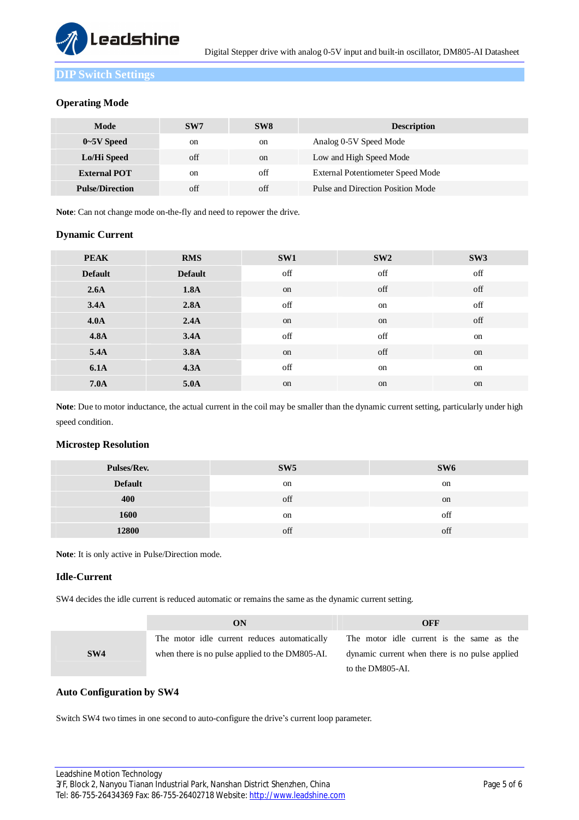

**DIP Switch Settings** 

#### **Operating Mode**

| Mode                                                | SW7           | SW <sub>8</sub> | <b>Description</b>                       |
|-----------------------------------------------------|---------------|-----------------|------------------------------------------|
| $0\negthinspace\negthinspace\negthinspace 5V$ Speed | on            | on              | Analog 0-5V Speed Mode                   |
| Lo/Hi Speed                                         | off           | <sub>on</sub>   | Low and High Speed Mode                  |
| <b>External POT</b>                                 | <sub>on</sub> | $\alpha$ ff     | <b>External Potentiometer Speed Mode</b> |
| <b>Pulse/Direction</b>                              | off           | off             | Pulse and Direction Position Mode        |

**Note**: Can not change mode on-the-fly and need to repower the drive.

#### **Dynamic Current**

| <b>PEAK</b>      | <b>RMS</b>     | SW1 | SW2 | SW3 |
|------------------|----------------|-----|-----|-----|
| <b>Default</b>   | <b>Default</b> | off | off | off |
| 2.6A             | 1.8A           | on  | off | off |
| 3.4A             | 2.8A           | off | on  | off |
| 4.0 <sub>A</sub> | 2.4A           | on  | on  | off |
| <b>4.8A</b>      | 3.4A           | off | off | on  |
| 5.4A             | 3.8A           | on  | off | on  |
| <b>6.1A</b>      | 4.3A           | off | on  | on  |
| <b>7.0A</b>      | 5.0A           | on  | on  | on  |

**Note**: Due to motor inductance, the actual current in the coil may be smaller than the dynamic current setting, particularly under high speed condition.

#### **Microstep Resolution**

| Pulses/Rev.    | SW5 | SW6 |
|----------------|-----|-----|
| <b>Default</b> | on  | on  |
| 400            | off | on  |
| 1600           | on  | off |
| 12800          | off | off |

**Note**: It is only active in Pulse/Direction mode.

#### **Idle-Current**

SW4 decides the idle current is reduced automatic or remains the same as the dynamic current setting.

|     | ON                                              | OFF                                            |
|-----|-------------------------------------------------|------------------------------------------------|
|     | The motor idle current reduces automatically    | The motor idle current is the same as the      |
| SW4 | when there is no pulse applied to the DM805-AI. | dynamic current when there is no pulse applied |
|     |                                                 | to the DM805-AI.                               |

#### **Auto Configuration by SW4**

Switch SW4 two times in one second to auto-configure the drive's current loop parameter.